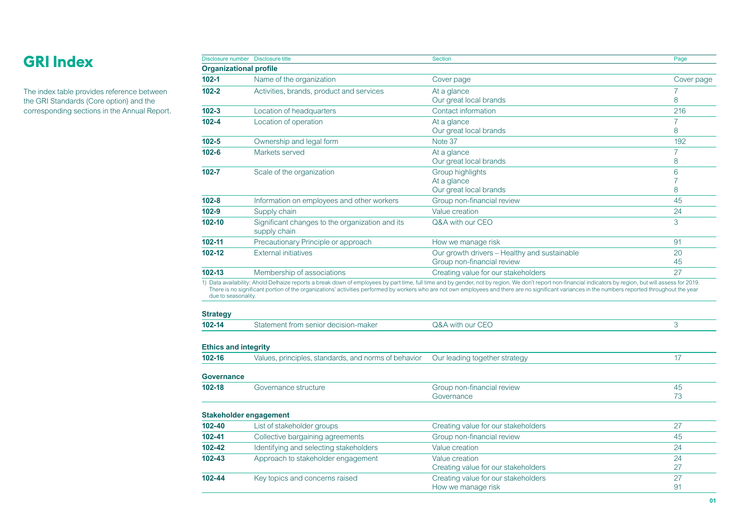# **GRI Index**

The index table provides reference between the GRI Standards (Core option) and the corresponding sections in the Annual Report.

|                                           | Disclosure number  Disclosure title                             | <b>Section</b>                                                                                                                                                                                                                                                                                                                                                                                                   | Page                |
|-------------------------------------------|-----------------------------------------------------------------|------------------------------------------------------------------------------------------------------------------------------------------------------------------------------------------------------------------------------------------------------------------------------------------------------------------------------------------------------------------------------------------------------------------|---------------------|
|                                           | <b>Organizational profile</b>                                   |                                                                                                                                                                                                                                                                                                                                                                                                                  |                     |
| $102 - 1$                                 | Name of the organization                                        | Cover page                                                                                                                                                                                                                                                                                                                                                                                                       | Cover page          |
| $102 - 2$                                 | Activities, brands, product and services                        | At a glance                                                                                                                                                                                                                                                                                                                                                                                                      | 7                   |
|                                           |                                                                 | Our great local brands                                                                                                                                                                                                                                                                                                                                                                                           | 8                   |
| $102 - 3$                                 | Location of headquarters                                        | Contact information                                                                                                                                                                                                                                                                                                                                                                                              | 216                 |
| $102 - 4$                                 | Location of operation                                           | At a glance                                                                                                                                                                                                                                                                                                                                                                                                      | $\overline{7}$      |
|                                           |                                                                 | Our great local brands                                                                                                                                                                                                                                                                                                                                                                                           | 8                   |
| $102 - 5$                                 | Ownership and legal form                                        | Note 37                                                                                                                                                                                                                                                                                                                                                                                                          | 192                 |
| $102 - 6$                                 | Markets served                                                  | At a glance<br>Our great local brands                                                                                                                                                                                                                                                                                                                                                                            | $\overline{7}$<br>8 |
| $102 - 7$                                 | Scale of the organization                                       | <b>Group highlights</b>                                                                                                                                                                                                                                                                                                                                                                                          | 6                   |
|                                           |                                                                 | At a glance                                                                                                                                                                                                                                                                                                                                                                                                      | 7                   |
|                                           |                                                                 | Our great local brands                                                                                                                                                                                                                                                                                                                                                                                           | 8                   |
| $102 - 8$                                 | Information on employees and other workers                      | Group non-financial review                                                                                                                                                                                                                                                                                                                                                                                       | 45                  |
| $102 - 9$                                 | Supply chain                                                    | Value creation                                                                                                                                                                                                                                                                                                                                                                                                   | 24                  |
| 102-10                                    | Significant changes to the organization and its<br>supply chain | Q&A with our CEO                                                                                                                                                                                                                                                                                                                                                                                                 | 3                   |
| 102-11                                    | Precautionary Principle or approach                             | How we manage risk                                                                                                                                                                                                                                                                                                                                                                                               | 91                  |
| 102-12                                    | <b>External initiatives</b>                                     | Our growth drivers - Healthy and sustainable                                                                                                                                                                                                                                                                                                                                                                     | 20                  |
|                                           |                                                                 | Group non-financial review                                                                                                                                                                                                                                                                                                                                                                                       | 45                  |
| $102 - 13$                                | Membership of associations                                      | Creating value for our stakeholders                                                                                                                                                                                                                                                                                                                                                                              | 27                  |
| due to seasonality.                       |                                                                 | 1) Data availability: Ahold Delhaize reports a break down of employees by part time, full time and by gender, not by region. We don't report non-financial indicators by region, but will assess for 2019.<br>There is no significant portion of the organizations' activities performed by workers who are not own employees and there are no significant variances in the numbers reported throughout the year |                     |
| <b>Strategy</b><br>$102 - 14$             | Statement from senior decision-maker                            | Q&A with our CEO                                                                                                                                                                                                                                                                                                                                                                                                 | 3                   |
|                                           |                                                                 |                                                                                                                                                                                                                                                                                                                                                                                                                  |                     |
| <b>Ethics and integrity</b><br>$102 - 16$ | Values, principles, standards, and norms of behavior            | Our leading together strategy                                                                                                                                                                                                                                                                                                                                                                                    | 17                  |
| <b>Governance</b>                         |                                                                 |                                                                                                                                                                                                                                                                                                                                                                                                                  |                     |
| $102 - 18$                                | Governance structure                                            | Group non-financial review                                                                                                                                                                                                                                                                                                                                                                                       | 45                  |
|                                           |                                                                 | Governance                                                                                                                                                                                                                                                                                                                                                                                                       | 73                  |
|                                           | <b>Stakeholder engagement</b>                                   |                                                                                                                                                                                                                                                                                                                                                                                                                  |                     |
| 102-40                                    | List of stakeholder groups                                      | Creating value for our stakeholders                                                                                                                                                                                                                                                                                                                                                                              | 27                  |
| 102-41                                    | Collective bargaining agreements                                | Group non-financial review                                                                                                                                                                                                                                                                                                                                                                                       | 45                  |
| 102-42                                    | Identifying and selecting stakeholders                          | Value creation                                                                                                                                                                                                                                                                                                                                                                                                   | 24                  |
| 102-43                                    | Approach to stakeholder engagement                              | Value creation                                                                                                                                                                                                                                                                                                                                                                                                   | 24                  |
|                                           |                                                                 | Creating value for our stakeholders                                                                                                                                                                                                                                                                                                                                                                              | 27                  |
| 102-44                                    | Key topics and concerns raised                                  | Creating value for our stakeholders                                                                                                                                                                                                                                                                                                                                                                              | 27                  |
|                                           |                                                                 | How we manage risk                                                                                                                                                                                                                                                                                                                                                                                               | 91                  |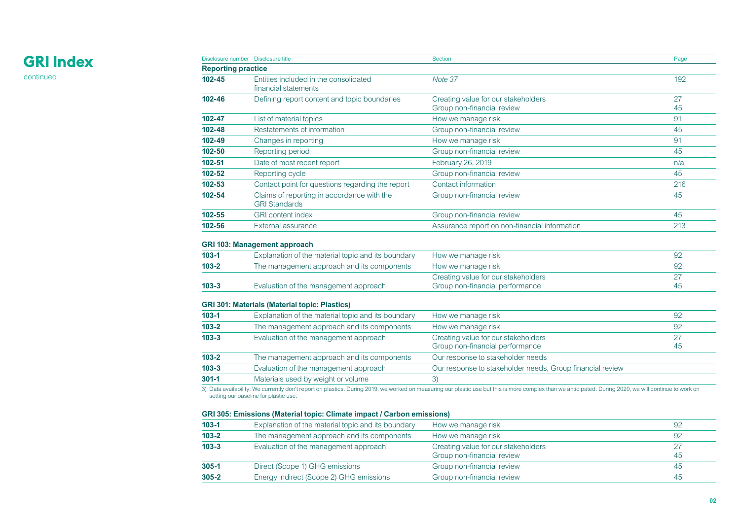# **GRI Index**

continued

| Disclosure number Disclosure title |                                                                    | <b>Section</b>                                                    | Page     |
|------------------------------------|--------------------------------------------------------------------|-------------------------------------------------------------------|----------|
| <b>Reporting practice</b>          |                                                                    |                                                                   |          |
| $102 - 45$                         | Entities included in the consolidated<br>financial statements      | Note 37                                                           | 192      |
| $102 - 46$                         | Defining report content and topic boundaries                       | Creating value for our stakeholders<br>Group non-financial review | 27<br>45 |
| 102-47                             | List of material topics                                            | How we manage risk                                                | 91       |
| $102 - 48$                         | Restatements of information                                        | Group non-financial review                                        | 45       |
| $102 - 49$                         | Changes in reporting                                               | How we manage risk                                                | 91       |
| $102 - 50$                         | Reporting period                                                   | Group non-financial review                                        | 45       |
| $102 - 51$                         | Date of most recent report                                         | February 26, 2019                                                 | n/a      |
| $102 - 52$                         | Reporting cycle                                                    | Group non-financial review                                        | 45       |
| $102 - 53$                         | Contact point for questions regarding the report                   | Contact information                                               | 216      |
| 102-54                             | Claims of reporting in accordance with the<br><b>GRI Standards</b> | Group non-financial review                                        | 45       |
| 102-55                             | <b>GRI</b> content index                                           | Group non-financial review                                        | 45       |
| 102-56                             | External assurance                                                 | Assurance report on non-financial information                     | 213      |

## **GRI 103: Management approach**

| $103 - 1$ | Explanation of the material topic and its boundary | How we manage risk                  | 92  |
|-----------|----------------------------------------------------|-------------------------------------|-----|
| $103 - 2$ | The management approach and its components         | How we manage risk                  | 92  |
|           |                                                    | Creating value for our stakeholders |     |
| $103 - 3$ | Evaluation of the management approach              | Group non-financial performance     | -45 |

## **GRI 301: Materials (Material topic: Plastics)**

| $103 - 1$ | Explanation of the material topic and its boundary | How we manage risk                                                     | 92       |
|-----------|----------------------------------------------------|------------------------------------------------------------------------|----------|
| $103 - 2$ | The management approach and its components         | How we manage risk                                                     | 92       |
| $103 - 3$ | Evaluation of the management approach              | Creating value for our stakeholders<br>Group non-financial performance | 27<br>45 |
| $103 - 2$ | The management approach and its components         | Our response to stakeholder needs                                      |          |
| $103 - 3$ | Evaluation of the management approach              | Our response to stakeholder needs, Group financial review              |          |
| $301 - 1$ | Materials used by weight or volume                 | 3).                                                                    |          |
|           |                                                    |                                                                        |          |

3) Data availability: We currently don't report on plastics. During 2019, we worked on measuring our plastic use but this is more complex than we anticipated. During 2020, we will continue to work on<br>setting our baseline f

### **GRI 305: Emissions (Material topic: Climate impact / Carbon emissions)**

| $103 - 1$ | Explanation of the material topic and its boundary | How we manage risk                                                |    |
|-----------|----------------------------------------------------|-------------------------------------------------------------------|----|
| $103 - 2$ | The management approach and its components         | How we manage risk                                                | 92 |
| $103 - 3$ | Evaluation of the management approach              | Creating value for our stakeholders<br>Group non-financial review | 45 |
| $305 - 1$ | Direct (Scope 1) GHG emissions                     | Group non-financial review                                        | 45 |
| $305 - 2$ | Energy indirect (Scope 2) GHG emissions            | Group non-financial review                                        | 45 |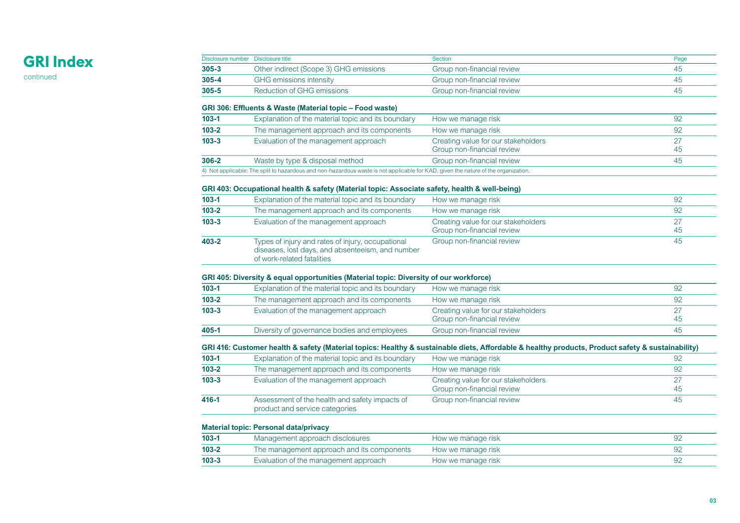# **GRI Index**

continued

| Disclosure number Disclosure title |                                                                                                                                    | <b>Section</b>                      | Page |
|------------------------------------|------------------------------------------------------------------------------------------------------------------------------------|-------------------------------------|------|
| $305 - 3$                          | Other indirect (Scope 3) GHG emissions                                                                                             | Group non-financial review          | 45   |
| $305 - 4$                          | <b>GHG</b> emissions intensity                                                                                                     | Group non-financial review          | 45   |
| $305 - 5$                          | <b>Reduction of GHG emissions</b>                                                                                                  | Group non-financial review          | 45   |
|                                    | GRI 306: Effluents & Waste (Material topic – Food waste)                                                                           |                                     |      |
| $103 - 1$                          | Explanation of the material topic and its boundary                                                                                 | How we manage risk                  | 92   |
| $103 - 2$                          | The management approach and its components                                                                                         | How we manage risk                  | 92   |
| $103 - 3$                          | Evaluation of the management approach                                                                                              | Creating value for our stakeholders | 27   |
|                                    |                                                                                                                                    | Group non-financial review          | 45   |
| 306-2                              | Waste by type & disposal method                                                                                                    | Group non-financial review          | 45   |
|                                    | 4) Not applicable: The split to hazardous and non-hazardous waste is not applicable for KAD, given the nature of the organization. |                                     |      |
|                                    | GRI 403: Occupational health & safety (Material topic: Associate safety, health & well-being)                                      |                                     |      |
| $103 - 1$                          | Explanation of the material topic and its boundary                                                                                 | How we manage risk                  | 92   |
| $103 - 2$                          | The management approach and its components                                                                                         | How we manage risk                  | 92   |
|                                    | Evaluation of the management approach                                                                                              | Creating value for our stakeholders | 27   |
|                                    |                                                                                                                                    | Group non-financial review          | 45   |
| $103 - 3$                          |                                                                                                                                    |                                     |      |

#### **GRI 405: Diversity & equal opportunities (Material topic: Diversity of our workforce)**

| $103 - 1$ | Explanation of the material topic and its boundary | How we manage risk                                                |    |
|-----------|----------------------------------------------------|-------------------------------------------------------------------|----|
| $103 - 2$ | The management approach and its components         | How we manage risk                                                |    |
| $103 - 3$ | Evaluation of the management approach              | Creating value for our stakeholders<br>Group non-financial review | 45 |
| 405-1     | Diversity of governance bodies and employees       | Group non-financial review                                        | 45 |

## **GRI 416: Customer health & safety (Material topics: Healthy & sustainable diets, Affordable & healthy products, Product safety & sustainability)**

| $103 - 1$ | Explanation of the material topic and its boundary                               | How we manage risk                                                | 92 |
|-----------|----------------------------------------------------------------------------------|-------------------------------------------------------------------|----|
| $103 - 2$ | The management approach and its components                                       | How we manage risk                                                | 92 |
| $103 - 3$ | Evaluation of the management approach                                            | Creating value for our stakeholders<br>Group non-financial review | 45 |
| 416-1     | Assessment of the health and safety impacts of<br>product and service categories | Group non-financial review                                        | 45 |

### **Material topic: Personal data/privacy**

| $103 - 1$ | Management approach disclosures            | How we manage risk |  |
|-----------|--------------------------------------------|--------------------|--|
| $103 - 2$ | The management approach and its components | How we manage risk |  |
| $103 - 3$ | Evaluation of the management approach      | How we manage risk |  |